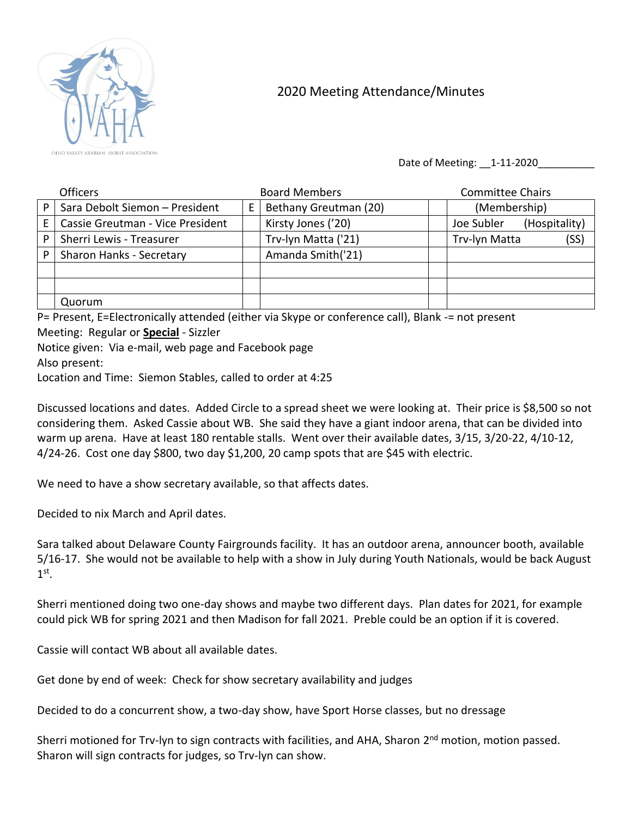

## 2020 Meeting Attendance/Minutes

Date of Meeting: \_\_1-11-2020\_\_\_\_\_\_\_\_\_\_

|   | <b>Officers</b>                  | <b>Board Members</b>  | <b>Committee Chairs</b>     |
|---|----------------------------------|-----------------------|-----------------------------|
| P | Sara Debolt Siemon - President   | Bethany Greutman (20) | (Membership)                |
|   | Cassie Greutman - Vice President | Kirsty Jones ('20)    | Joe Subler<br>(Hospitality) |
| P | Sherri Lewis - Treasurer         | Trv-lyn Matta ('21)   | (SS)<br>Trv-lyn Matta       |
|   | Sharon Hanks - Secretary         | Amanda Smith('21)     |                             |
|   |                                  |                       |                             |
|   |                                  |                       |                             |
|   | Quorum                           |                       |                             |

P= Present, E=Electronically attended (either via Skype or conference call), Blank -= not present Meeting: Regular or **Special** - Sizzler

Notice given: Via e-mail, web page and Facebook page Also present:

Location and Time: Siemon Stables, called to order at 4:25

Discussed locations and dates. Added Circle to a spread sheet we were looking at. Their price is \$8,500 so not considering them. Asked Cassie about WB. She said they have a giant indoor arena, that can be divided into warm up arena. Have at least 180 rentable stalls. Went over their available dates, 3/15, 3/20-22, 4/10-12, 4/24-26. Cost one day \$800, two day \$1,200, 20 camp spots that are \$45 with electric.

We need to have a show secretary available, so that affects dates.

Decided to nix March and April dates.

Sara talked about Delaware County Fairgrounds facility. It has an outdoor arena, announcer booth, available 5/16-17. She would not be available to help with a show in July during Youth Nationals, would be back August  $1^\text{st}$ .

Sherri mentioned doing two one-day shows and maybe two different days. Plan dates for 2021, for example could pick WB for spring 2021 and then Madison for fall 2021. Preble could be an option if it is covered.

Cassie will contact WB about all available dates.

Get done by end of week: Check for show secretary availability and judges

Decided to do a concurrent show, a two-day show, have Sport Horse classes, but no dressage

Sherri motioned for Trv-lyn to sign contracts with facilities, and AHA, Sharon 2<sup>nd</sup> motion, motion passed. Sharon will sign contracts for judges, so Trv-lyn can show.